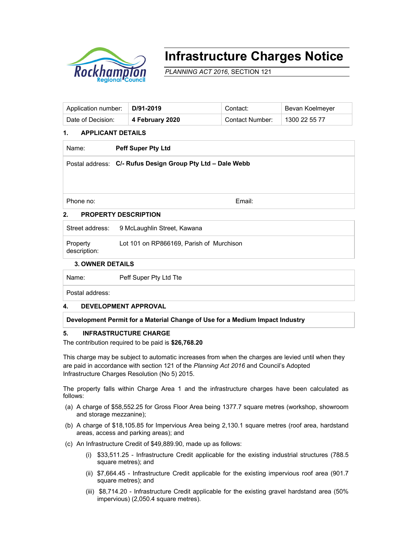

# **Infrastructure Charges Notice**

*PLANNING ACT 2016*, SECTION 121

| Application number:   D/91-2019 |                 | Contact:        | Bevan Koelmeyer |
|---------------------------------|-----------------|-----------------|-----------------|
| Date of Decision:               | 4 February 2020 | Contact Number: | 1300 22 55 77   |

# **1. APPLICANT DETAILS**

Name: **Peff Super Pty Ltd**  Postal address: **C/- Rufus Design Group Pty Ltd – Dale Webb**  Phone no: Email: Email: Email: Email: Email: Email: Email: Email: Email: Email: Email: Email: Email: Email: Email: Email: Email: Email: Email: Email: Email: Email: Email: Email: Email: Email: Email: Email: Email: Email: Em

# **2. PROPERTY DESCRIPTION**

|                          | Street address: 9 McLaughlin Street, Kawana |
|--------------------------|---------------------------------------------|
| Property<br>description: | Lot 101 on RP866169, Parish of Murchison    |

#### **3. OWNER DETAILS**

Name: Peff Super Pty Ltd Tte

Postal address:

#### **4. DEVELOPMENT APPROVAL**

**Development Permit for a Material Change of Use for a Medium Impact Industry** 

### **5. INFRASTRUCTURE CHARGE**

The contribution required to be paid is **\$26,768.20**

This charge may be subject to automatic increases from when the charges are levied until when they are paid in accordance with section 121 of the *Planning Act 2016* and Council's Adopted Infrastructure Charges Resolution (No 5) 2015.

The property falls within Charge Area 1 and the infrastructure charges have been calculated as follows:

- (a) A charge of \$58,552.25 for Gross Floor Area being 1377.7 square metres (workshop, showroom and storage mezzanine);
- (b) A charge of \$18,105.85 for Impervious Area being 2,130.1 square metres (roof area, hardstand areas, access and parking areas); and
- (c) An Infrastructure Credit of \$49,889.90, made up as follows:
	- (i) \$33,511.25 Infrastructure Credit applicable for the existing industrial structures (788.5 square metres); and
	- (ii) \$7,664.45 Infrastructure Credit applicable for the existing impervious roof area (901.7 square metres); and
	- (iii) \$8,714.20 Infrastructure Credit applicable for the existing gravel hardstand area (50% impervious) (2,050.4 square metres).